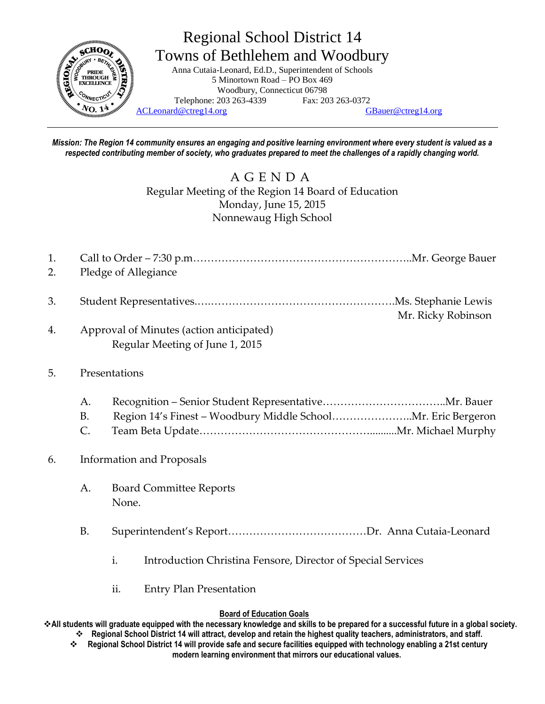

Regional School District 14 Towns of Bethlehem and Woodbury Anna Cutaia-Leonard, Ed.D., Superintendent of Schools

5 Minortown Road – PO Box 469 Woodbury, Connecticut 06798 Telephone: 203 263-4339 Fax: 203 263-0372  $N_{\rm O.14}$   $N_{\rm H,00}$   $N_{\rm H,000}$   $\sim$  [ACLeonard@ctreg14.org](mailto:ACLeonard@ctreg14.org) [GBauer@ctreg14.org](mailto:GBauer@ctreg14.org)

*Mission: The Region 14 community ensures an engaging and positive learning environment where every student is valued as a respected contributing member of society, who graduates prepared to meet the challenges of a rapidly changing world.*

> A G E N D A Regular Meeting of the Region 14 Board of Education Monday, June 15, 2015 Nonnewaug High School

| 2. Pledge of Allegiance |  |
|-------------------------|--|

- 3. Student Representatives.….…………………………………………….Ms. Stephanie Lewis Mr. Ricky Robinson
- 4. Approval of Minutes (action anticipated) Regular Meeting of June 1, 2015

## 5. Presentations

A. Recognition – Senior Student Representative……………………………..Mr. Bauer B. Region 14's Finest – Woodbury Middle School…………………..Mr. Eric Bergeron C. Team Beta Update…………………………………………..........Mr. Michael Murphy

## 6. Information and Proposals

- A. Board Committee Reports None.
- B. Superintendent's Report…………………………………Dr. Anna Cutaia-Leonard
	- i. Introduction Christina Fensore, Director of Special Services
	- ii. Entry Plan Presentation

## **Board of Education Goals**

**All students will graduate equipped with the necessary knowledge and skills to be prepared for a successful future in a global society. Regional School District 14 will attract, develop and retain the highest quality teachers, administrators, and staff.**

 **Regional School District 14 will provide safe and secure facilities equipped with technology enabling a 21st century modern learning environment that mirrors our educational values.**